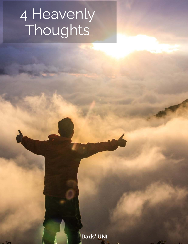# 4 Heavenly **Thoughts**

Dads' UNI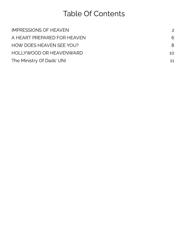## Table Of Contents

| <b>IMPRESSIONS OF HEAVEN</b>    | $\mathcal{P}$   |
|---------------------------------|-----------------|
| A HEART PREPARED FOR HEAVEN     | 6               |
| <b>HOW DOES HEAVEN SEE YOU?</b> | 8               |
| HOLLYWOOD OR HEAVENWARD         | 10 <sup>1</sup> |
| The Ministry Of Dads' UNI       | 11              |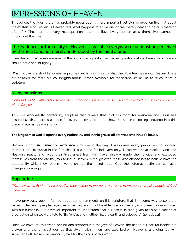### <span id="page-2-0"></span>IMPRESSIONS OF HEAVEN

Throughout the ages, there has probably never been a more important yet elusive question like that about<br>the existence of Heaven. Is Heaven real, what happens after we die, do we merely cease to be or is there an the existence of Heaven. Is heaven. It happens after the existence of Heaven real and the original cease to be<br>After 1962, These such the story weak awardings that I halp we answer reasons adopted themselves, constitute after-life? These are the very real questions that I believe every person and internet containing throughout their life.

The evidence for the reality of Heaven is available everywhere but must be perceived by the heart and not merely understood by the mind alone.

Even the fact that every member of the human family asks themselves questions about Heaven is a clue we<br>should not discount lightly. should not discount lightly.

who follows is a short list contained some specific into what the Bible teacher into what the Bible teacher the<br>Also have the Bible teacher in the Bible teacher the Bible teacher about Heaven. The Bible teacher the Bible t are however far more biblical insights about Heaven available for those who would like to study them in scripture.

#### Many mansions

(John 14:2) In My Father's house are many mansions; if it were not so, I would have told you. I go to prepare a place for you.

 $T$  is a wonderfully component scripture that reveals that  $\epsilon$  is a wonderfully component that  $\epsilon$  is a wonderfully component that  $\epsilon$  is a room for every  $\epsilon$  and  $\epsilon$  is a room for every  $\epsilon$  and  $\epsilon$  is a room for e ensure that there is a place for every believer, no matter how many come seeking entrance into this place of eternal peace and joy.

#### The kingdom of God is open to every nationality and ethnic group, all are welcome in God's house.

member and exclusive in the fact that it is a place for believers only. Those who have mocked God and member and exclusive in the fact that it is a place for believers only. These internate international and an<br>Heaven's reality and lived their lives apart from Him have already made their choice and excluded<br>Heavenlyne from the matrix found in the eternal joys found in Heaven. Although even those who choose not to be a statement of t<br>In the extensive subject that we want to be a shown a heaven those who choose not to be a statement about the opportunity while they remain alive to change their mind about God, their eternal destination can also change accordingly. Heaven is both **inclusive** and exclusive, inclusive in the way it welcomes every person as an honored

### Angelic life

(Matthew 22:30) For in the resurrection they neither marry nor are given in marriage but are like angels of God in heaven.

I have previously been informed about some comments on this scripture, that it in some way lessens the value of<br>Value of Heaven in people's eyes because they would not be able to enjoy the physical pleasures associated with our humanity. It is however important to understand that our sexuality was given to us as a means of where  $\frac{1}{\sqrt{2}}$  is however important to understand to understand that our sexuality was given to us as  $\frac{1}{\sqrt{2}}$  is  $\frac{1}{\sqrt{2}}$  in  $\frac{1}{\sqrt{2}}$  and  $\frac{1}{\sqrt{2}}$  and  $\frac{1}{\sqrt{2}}$  is  $\frac{1}{\sqrt{2}}$  ( $\frac{1}{\sqrt{2}}$  and  $\$ procreation when we were told to "Be fruitful and multiply, ll the earth and subdue it" (Genesis 1:28)

once we have the time introduction and stepped into the joys of Heaven, the time the statute is the time are broken and the physical desires that dwelt within them are also broken. Heaven's unending joy will supersede all desires we previously had for the things of this world.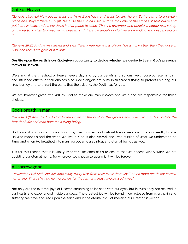### Gate of Heaven

(Genesis 28:10-12) Now Jacob went out from Beersheba and went toward Haran. So he came to a certain place and stayed there all night, because the sun had set. And he took one of the stones of that place and put it at his head, and he lay down in that place to sleep. Then he dreamed, and behold, a ladder was set up on the earth, and its top reached to heaven; and there the angels of God were ascending and descending on it.

(Genesis 28:17) And he was afraid and said, "How awesome is this place! This is none other than the house of God, and this is the gate of heaven!"

### Our life upon the earth is our God-given opportunity to decide whether we desire to live in God's presence forever in Heaven.

We stand at the threshold of Heaven every day and by our beliefs and actions, we choose our eternal path and influence others in their choices also. God's angels are busy in this world trying to protect us along our life's journey and to thwart the plans that the evil one, the Devil, has for you.

We are however given free will by God to make our own choices and we alone are responsible for those choices.

### God's breath in man

(Genesis 2:7) And the Lord God formed man of the dust of the ground and breathed into his nostrils the breath of life; and man became a living being.

God is spirit, and as spirit is not bound by the constraints of natural life as we know it here on earth, for it is He who made us and the world we live in. God is also eternal and lives outside of what we understand as 'time' and when He breathed into man, we became a spiritual and eternal beings as well.

It is for this reason that it is vitally important for each of us to ensure that we choose wisely when we are deciding our eternal home, for wherever we choose to spend it, it will be forever.

### All sorrow gone

(Revelation 21:4) And God will wipe away every tear from their eyes; there shall be no more death, nor sorrow, nor crying. There shall be no more pain, for the former things have passed away."

Not only are the external joys of Heaven something to be seen with our eyes, but in truth, they are realized in our hearts and experienced inside our souls. The greatest joy will be found in our release from every pain and suffering we have endured upon the earth and in the eternal thrill of meeting our Creator in person.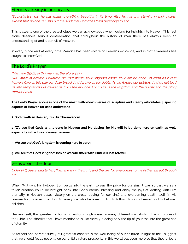### Eternity already in our hearts

(Ecclesiastes 3:11) He has made everything beautiful in its time. Also He has put eternity in their hearts, except that no one can find out the work that God does from beginning to end.

This is clearly one of the greatest clues we can acknowledge when looking for insights into Heaven. This fact<br>alone deserves serious consideration, that throughout the history of man there has always been an alone deserves serious serious serious consideration, that throughout the history of man there has always been an understanding of and a pursuit of Heaven.

In every place and at every time Mankind has been aware of Heaven's existence, and in that awareness has sought to know God.

### The Lord's Prayer

(Matthew 6:9-13) In this manner, therefore, pray:

Our Father in heaven, Hallowed be Your name. Your kingdom come. Your will be done On earth as it is in heaven. Give us this day our daily bread. And forgive us our debts, As we forgive our debtors. And do not lead us into temptation But deliver us from the evil one. For Yours is the kingdom and the power and the glory forever Amen.

The Lord's Prayer above is one of the most well-known verses of scripture and clearly articulates 4 specific aspects of Heaven for us to understand.

1. God dwells in Heaven, it is His Throne Room

 We see that God's will is done in Heaven and He desires for His will to be done here on earth as well, 2. especially in the lives of every believer.

3. We see that God's kingdom is coming here to earth

4. We see that God's kingdom (which we will share with Him) will last forever.

### Jesus opens the door

(John 14:6) Jesus said to him, "I am the way, the truth, and the life. No one comes to the Father except through Me.

When God sent His beloved Son Jesus into the earth to pay the price for our sins, it was so that we as a<br>fallen creation could be brought back into God's eternal blessing and enjoy the joys of walking with Him Fallen creation could be brought back into God's eternal backet in the joys of walking with Him.<br>eternally in Heaven. Jesus' victory on the cross (paying for our sins) and overcoming death itself (in His resurrection) opened the door for everyone who believes in Him to follow Him into Heaven as His beloved

Heaven itself, that greatest of human questions, is glimpsed in many different snapshots in the scriptures of<br>the Bible. The shortlist that I have mentioned is like merely placing only the tip of your toe into the great se the Bible. The shortlist that I have mentioned is like merely placing only the tip of your toe into the great sea of eternity.

As fathers and parents surely our greatest concern is the well-being of our children, in light of this I suggest that we should focus not only on our child's future prosperity in this world but even more so that they enjoy a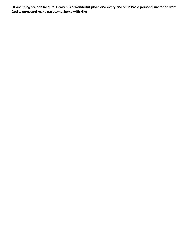Of one thing we can be sure, Heaven is a wonderful place and every one of us has a personal invitation from God to come and make our eternal home with Him.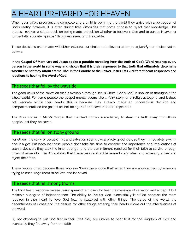### <span id="page-6-0"></span>A HEART PREPARED FOR HEAVEN

When your wife's pregnancy is complete and a child is born into the world they arrive with a perception of<br>God's reality, however, it is often during life's difficulties that some choose to reject that knowledge. This process involves a subtle decision being made, a decision whether to believe in God and to pursue Heaven or to mentally allocate 'spiritual' things as unreal or unknowable. to mentally allocate 'spiritual' things as unreal or unknowable.

These decisions once made will either our choice to believe or attempt to our choice Not to validate our choice to believe or attempt to justify

In the Gospel Of Mark (4:3-20) Jesus spoke a parable revealing how the truth of God's Word reaches every person in the world in some way and shows that it is their responses to that truth that ultimately determine whether or not they attain eternal life. In the Parable of the Sower Jesus lists 4 different heart responses and reactions to hearing the Word of God.

### The seeds that fell by the wayside

The good news of the salvation that is available through Jesus Christ (God's Son), is spoken of throughout the<br>whole world. For some people the gospel merely seems like a 'fairy story' or a 'religious legend' and it does not resonate within their hearts, this is because they already made an unconscious decision and not resonate within the sonate  $\frac{1}{n}$  is the cause the state  $\frac{1}{n}$  and  $\frac{1}{n}$  and  $\frac{1}{n}$  and  $\frac{1}{n}$  and  $\frac{1}{n}$  and  $\frac{1}{n}$  and  $\frac{1}{n}$  and  $\frac{1}{n}$  and  $\frac{1}{n}$  and  $\frac{1}{n}$  and  $\frac{1}{n}$  and  $\frac$ compartmentalized the gospel as 'not being true' and have therefore rejected it.

The Bible states in Mark's Gospel that the devil comes immediately to steal the truth away from those people, lest they be saved.

#### The seeds that fell on stony ground

For others, the story of Jesus Christ and salvation seems like a pretty good idea, so they immediately say: 'I'll<br>give it a go!' But because these people don't take the time to consider the importance and implications of such a decision, they lack the inner strength and the commitment required for their faith to survive through times of adversity. The Bible states that these people stumble immediately when any adversity arises and times of adversity. The Bible states that these people stumble immediately when any adversity arises and reject their faith.

These people often become those who say "Been there, done that" when they are approached by someone trying to encourage them to believe and be saved.

### The seeds that fell among thorns

The third heart response we see Jesus speak of is those who hear the message of salvation and accept it but<br>maintain a degree of independence. The ability to live for God successfully is stifled because the room required in their heart to love God fully is cluttered with other things. The cares of the world, the deceitfulness of riches and the desires for other things entering their hearts choke out the effectiveness of deceitefulness of riches and the decarts for other things entering their hearts choke out the experiments of

 $\mathcal{B}_\text{S}$  not choosing to put God rst in the first in the kingdom of God and  $\mathcal{B}_\text{S}$  and  $\mathcal{B}_\text{S}$  and  $\mathcal{B}_\text{S}$  and  $\mathcal{B}_\text{S}$  and  $\mathcal{B}_\text{S}$  and  $\mathcal{B}_\text{S}$  and  $\mathcal{B}_\text{S}$  and  $\mathcal{B}_\text{S}$  eventually they fall away from the faith.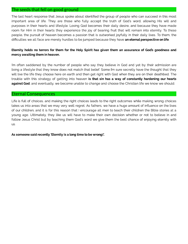### The seeds that fell on good ground

The last heart response that Jesus spoke about identified the group of people who can succeed in this most important area of life. They are those who fully accept the truth of God's word, allowing His will and purposes in their hearts and lifestyle. Loving God becomes their daily desire, and because they have made room for Him in their hearts they experience the joy of bearing fruit that will remain into eternity. To these people, the pursuit of heaven becomes a passion that is outworked joyfully in their daily lives. To them, the difficulties we all face are merely hurdles to be jumped because they have an eternal perspective on life.

### Eternity holds no terrors for them for the Holy Spirit has given them an assurance of God's goodness and mercy awaiting them in heaven.

I'm often saddened by the number of people who say they believe in God and yet by their admission are living a lifestyle that they know does not match that belief. Some I'm sure secretly have the thought that they will live the life they choose here on earth and then get right with God when they are on their deathbed. The trouble with this strategy of getting into heaven **is that sin has a way of constantly hardening our hearts** against God, and eventually, we become unable to change and choose the Christian life we know we should.

### Eternal Consequences

Life is full of choices, and making the right choices leads to the right outcomes while making wrong choices takes us into areas that we may very well regret. As fathers, we have a huge amount of influence on the lives of our children, and it is for this reason that I encourage all men to teach their children the Bible stories at a young age. Ultimately, they like us will have to make their own decision whether or not to believe in and follow Jesus Christ but by teaching them God's word we give them the best chance of enjoying eternity with us.

As someone said recently 'Eternity is a long time to be wrong!'.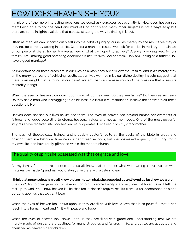### <span id="page-8-0"></span>HOW DOES HEAVEN SEE YOU?

I think one of the more interesting questions we could ask ourselves occasionally is "How does heaven see<br>me?" Being able to find the heart and mind of God on this and many other subjects is not always easy, but me. " Being able to not to not to not the heart and mind of God on the many other subjects is not always easy, but there are some insights available that can assist along the way to nding this out.

Often as men, we can unconsciously fall into the habit of judging ourselves merely by the results we may or<br>may not be currently seeing in our life. Often for a man, the results we look for can be in ministry or business, or our personal life at home. Are we achieving what we hoped to achieve? Are we providing well for our or our personal life at home. Are we achieve at home and what we have we have well for a real for our providing what we have a father  $\alpha$  is a father  $\alpha$  our providing what we provide the set of  $\alpha$  is a father  $\alpha$  on family? Am I making good parenting decisions? Is my life with God on track? How am I doing as a father? Do I have a good marriage?

As important as all these areas are in our lives as a man, they are still external results, and if we merely stay<br>on the merry-go-round of achieving results all our lives we may miss our divine destiny. I would suggest tha the merring-go-round of achieving results all our may miss our diving the sumplements ouggest that<br>there is an insight that is found in our belief system that can release much of the pressure that a 'results mentality' brings.

when the eyes of heaven look down upon upon upon upon upon upon  $\mathbb{R}$ . Do they see  $\mathbb{R}$  is a success? Do the expected to the expected  $\mathbb{R}$ . Do they see a man who is struggling to do his best in dicult circumstances? I believe the answer to all these questions is No!

Heaven does not see our lives as we see them. The eyes of heaven see beyond human achievements or<br>failures, and judge according to eternal heavenly values and not as men judge. One of the most powerful insights I have received into how heaven really operates, I received from my grandmother. insights I have received into how heaven really operates, I received from my grandmother.

She was not theologically trained, and probably couldn't recite all the books of the bible in order, and<br>position them in a historical timeline in under fifteen seconds, but she possessed a quality that I long for in position them in a historical timeline in under fteen seconds, but she possessed a quality that I long for in my own life, and have rarely glimpsed within the modern church.

### The quality of spirit she possessed was that of grace and love.

All my family felt it and responded to it, we all knew that no matter what went wrong in our lives or what mistakes we made, 'grandma' would always be there with a listening ear.

### I think that unconsciously we all knew that no matter what, she accepted us and loved us just how we were.

She didn't try to change us, or to make us conform to some family standard, she just loved us and left the rest up to God. You know, heaven is like that too, it doesn't require results from us for acceptance or place burdens upon us that we can't bear.

when the eyes of heaven look down upon upon upon upon upon  $\epsilon$ reach into a human heart and ll it with peace and hope.

When the eyes of heaven look down upon us they are filled with grace and understanding that we are<br>merely made of dust and are destined for many struggles and failures in life, and yet we are accepted and merely made of dust and are destined for many struggles and failures in life, and yet we are accepted and cherished as heaven's dear children.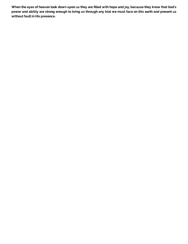When the eyes of heaven look down upon us they are filled with hope and joy, because they know that God's power and ability are strong enough to bring us through any trial we must face on this earth and present us without fault in His presence.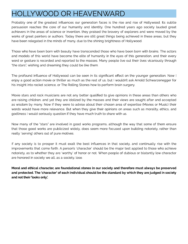### <span id="page-10-0"></span>HOLLYWOOD OR HEAVENWARD

Probably one of the greatest influences our generation faces is the rise and rise of Hollywood. Its subtle<br>persuasion reaches the core of our humanity and identity. One hundred years ago society lauded great achievers in the areas of science or invention, they praised the bravery of explorers and were moved by the works of great painters or authors. Today there are still great things being achieved in these areas, but they have been relegated in the minds of many, due to the shining brightness of Hollywood. have been relegated in the minds of many, due to the shining brightness of Hollywood.

Those who have been born with beauty have transcended those who have been born with brains. The actors<br>and models of this world have become the elite of humanity in the eyes of this generation, and their every word or gesture is recorded and reported to the masses. Many people live out their lives vicariously through "the stars", wishing and dreaming they could be like them. "the stars", wishing and dreaming they could be like them.

The profound influence of Hollywood can be seen in its significant effect on the younger generation. Now I<br>The senioy a good action movie or thriller as much as the rest of us, but I wouldn't ask Arnold Schwarzenegger for enjoy a good action movie or thriller as much as much as much as the rest of us, but I wouldn't ask Arnold Schwarzenegger for the rest of us, but I would schwarzenegger for us, but I would schwarzenegger for the Polline. C his insight into rocket science, or The Rolling Stones how to perform brain surgery.

Movie stars and rock musicians are not any better qualified to give opinions in these areas than others who<br>are raising children, and yet they are idolized by the masses and their views are sought after and accepted as wisdom by many. Now if they were to advise about their chosen area of expertise (Movies or Music) their words would have more relevance. But when they give their opinions on areas such as morality, ethics, and godliness I would seriously question if they have much truth to share with us. godliness I would seriously question if they have much truth to share with us.

Now many of the "stars" are involved in good works programs, although the way that some of them ensure<br>that those good works are publicized widely, does seem more focused upon building notoriety, rather than that the those good works are publicized widely, does seem more focused upon building notoriety, rather than th really 'serving' others out of pure motives.

If any society is to prosper it must exalt the best influences in that society, and continually rise with the<br>improvements that come forth. A person's 'character' should be the major test applied to those who achieve notoriety, as to whether they are 'worthy' of honor or not. When people of dubious or blatantly low character notoriety, as to whether they are 'wordhy' or not. When people of dubious or all they are character. are honored in society we all, as a society, lose.

Moral and ethical character, are foundational stones in our society and therefore must always be preserved and protected. The 'character' of each individual should be the standard by which they are judged in society and not their 'looks only'.